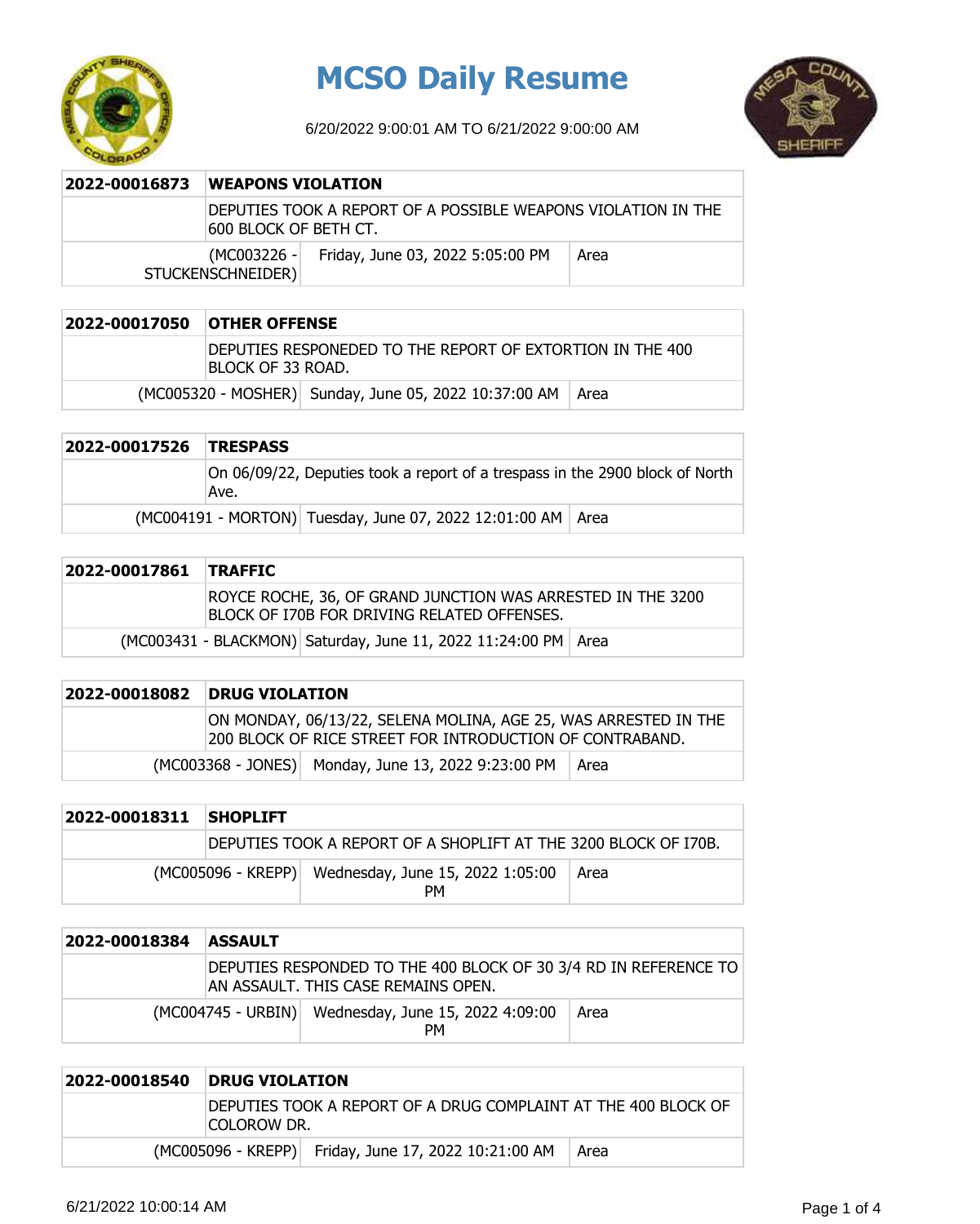

# **MCSO Daily Resume**

6/20/2022 9:00:01 AM TO 6/21/2022 9:00:00 AM



| 2022-00016873 | <b>IWEAPONS VIOLATION</b>                                                              |                                              |      |
|---------------|----------------------------------------------------------------------------------------|----------------------------------------------|------|
|               | DEPUTIES TOOK A REPORT OF A POSSIBLE WEAPONS VIOLATION IN THE<br>600 BLOCK OF BETH CT. |                                              |      |
|               | STUCKENSCHNEIDER)                                                                      | (MC003226 - Friday, June 03, 2022 5:05:00 PM | Area |

# **2022-00017050 OTHER OFFENSE**

DEPUTIES RESPONEDED TO THE REPORT OF EXTORTION IN THE 400 BLOCK OF 33 ROAD.

(MC005320 - MOSHER) Sunday, June 05, 2022 10:37:00 AM | Area

### **2022-00017526 TRESPASS** On 06/09/22, Deputies took a report of a trespass in the 2900 block of North Ave. (MC004191 - MORTON) Tuesday, June 07, 2022 12:01:00 AM Area

| 2022-00017861 TRAFFIC |                                                                                                            |  |
|-----------------------|------------------------------------------------------------------------------------------------------------|--|
|                       | ROYCE ROCHE, 36, OF GRAND JUNCTION WAS ARRESTED IN THE 3200<br>BLOCK OF I70B FOR DRIVING RELATED OFFENSES. |  |
|                       | (MC003431 - BLACKMON) Saturday, June 11, 2022 11:24:00 PM   Area                                           |  |

| 2022-00018082 | <b>DRUG VIOLATION</b> |                                                                                                                             |        |
|---------------|-----------------------|-----------------------------------------------------------------------------------------------------------------------------|--------|
|               |                       | ON MONDAY, 06/13/22, SELENA MOLINA, AGE 25, WAS ARRESTED IN THE<br>200 BLOCK OF RICE STREET FOR INTRODUCTION OF CONTRABAND. |        |
|               |                       | (MC003368 - JONES) Monday, June 13, 2022 9:23:00 PM                                                                         | l Area |

| 2022-00018311 SHOPLIFT |  |                                                                 |      |
|------------------------|--|-----------------------------------------------------------------|------|
|                        |  | DEPUTIES TOOK A REPORT OF A SHOPLIFT AT THE 3200 BLOCK OF 170B. |      |
|                        |  | (MC005096 - KREPP) Wednesday, June 15, 2022 1:05:00<br>PМ       | Area |

| 2022-00018384 | <b>ASSAULT</b> |                                                                                                         |      |
|---------------|----------------|---------------------------------------------------------------------------------------------------------|------|
|               |                | DEPUTIES RESPONDED TO THE 400 BLOCK OF 30 3/4 RD IN REFERENCE TO<br>AN ASSAULT. THIS CASE REMAINS OPEN. |      |
|               |                | (MC004745 - URBIN) Wednesday, June 15, 2022 4:09:00<br>PМ                                               | Area |

## **2022-00018540 DRUG VIOLATION** DEPUTIES TOOK A REPORT OF A DRUG COMPLAINT AT THE 400 BLOCK OF COLOROW DR. (MC005096 - KREPP) Friday, June 17, 2022 10:21:00 AM | Area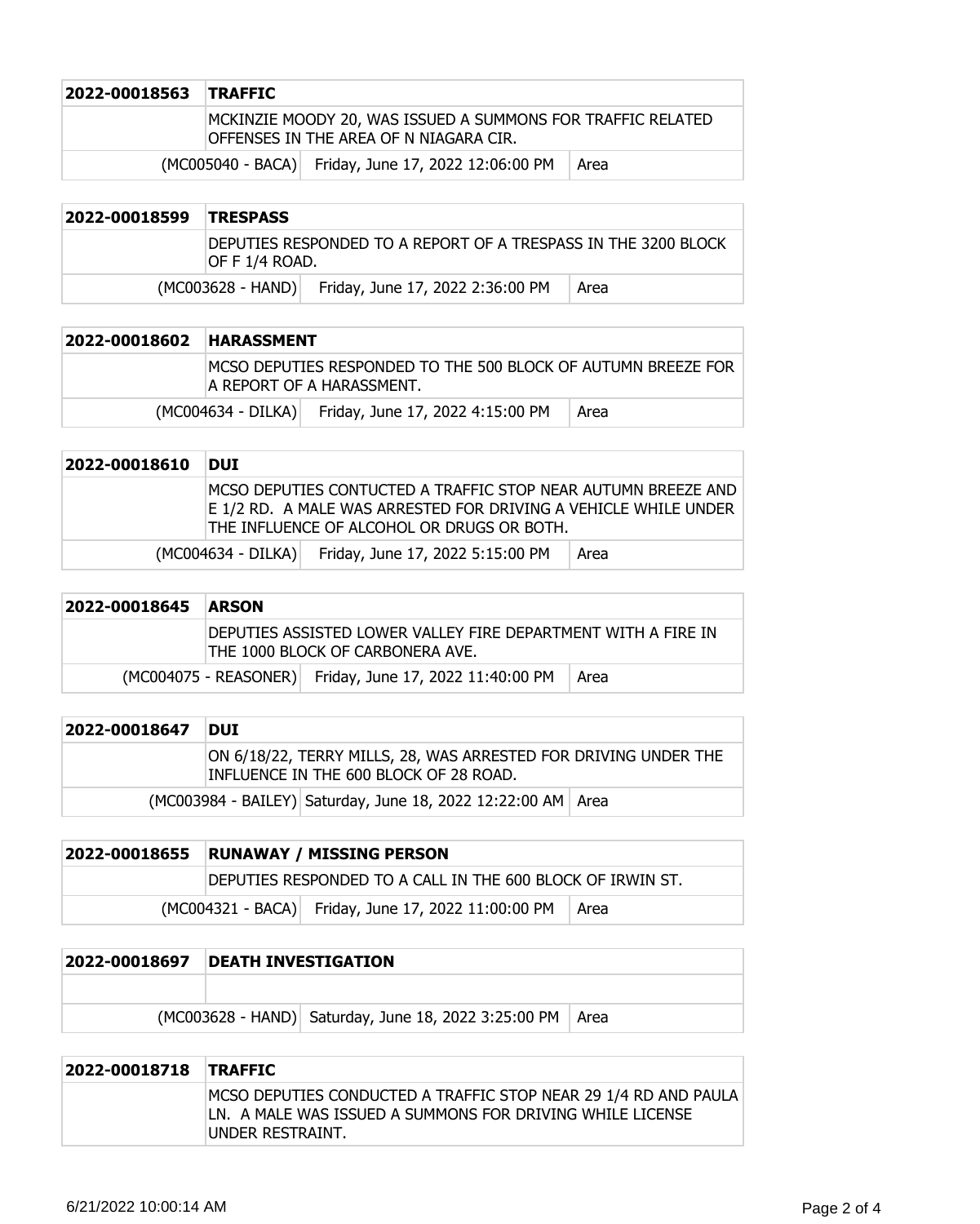| 2022-00018563 TRAFFIC |                                                                                                        |      |
|-----------------------|--------------------------------------------------------------------------------------------------------|------|
|                       | MCKINZIE MOODY 20, WAS ISSUED A SUMMONS FOR TRAFFIC RELATED<br>IOFFENSES IN THE AREA OF N NIAGARA CIR. |      |
|                       | (MC005040 - BACA) Friday, June 17, 2022 12:06:00 PM                                                    | Area |

| 2022-00018599 | <b>TRESPASS</b> |                                                                  |      |
|---------------|-----------------|------------------------------------------------------------------|------|
|               | IOF F 1/4 ROAD. | IDEPUTIES RESPONDED TO A REPORT OF A TRESPASS IN THE 3200 BLOCK. |      |
|               |                 | (MC003628 - HAND) Friday, June 17, 2022 2:36:00 PM               | Area |

| 2022-00018602 HARASSMENT |                                                                                              |      |
|--------------------------|----------------------------------------------------------------------------------------------|------|
|                          | IMCSO DEPUTIES RESPONDED TO THE 500 BLOCK OF AUTUMN BREEZE FOR<br>IA REPORT OF A HARASSMENT. |      |
|                          | (MC004634 - DILKA) Friday, June 17, 2022 4:15:00 PM                                          | Area |

| 2022-00018610 | DUI |                                                                                                                                                                                   |      |
|---------------|-----|-----------------------------------------------------------------------------------------------------------------------------------------------------------------------------------|------|
|               |     | MCSO DEPUTIES CONTUCTED A TRAFFIC STOP NEAR AUTUMN BREEZE AND<br>E 1/2 RD. A MALE WAS ARRESTED FOR DRIVING A VEHICLE WHILE UNDER  <br>ITHE INFLUENCE OF ALCOHOL OR DRUGS OR BOTH. |      |
|               |     | (MC004634 - DILKA) Friday, June 17, 2022 5:15:00 PM                                                                                                                               | Area |

| 2022-00018645 | <b>ARSON</b>                                                                                       |
|---------------|----------------------------------------------------------------------------------------------------|
|               | IDEPUTIES ASSISTED LOWER VALLEY FIRE DEPARTMENT WITH A FIRE IN<br>THE 1000 BLOCK OF CARBONERA AVE. |
|               | (MC004075 - REASONER) Friday, June 17, 2022 11:40:00 PM<br>Area                                    |

| 2022-00018647 | <b>DUI</b>                                                                                                |
|---------------|-----------------------------------------------------------------------------------------------------------|
|               | ON 6/18/22, TERRY MILLS, 28, WAS ARRESTED FOR DRIVING UNDER THE<br>INFLUENCE IN THE 600 BLOCK OF 28 ROAD. |
|               | (MC003984 - BAILEY) Saturday, June 18, 2022 12:22:00 AM   Area                                            |

| 2022-00018655 | <b>RUNAWAY / MISSING PERSON</b> |                                                            |        |
|---------------|---------------------------------|------------------------------------------------------------|--------|
|               |                                 | DEPUTIES RESPONDED TO A CALL IN THE 600 BLOCK OF IRWIN ST. |        |
|               |                                 | (MC004321 - BACA) Friday, June 17, 2022 11:00:00 PM        | l Area |

| 2022-00018697 | <b>IDEATH INVESTIGATION</b> |                                                             |  |
|---------------|-----------------------------|-------------------------------------------------------------|--|
|               |                             |                                                             |  |
|               |                             | (MC003628 - HAND) Saturday, June 18, 2022 3:25:00 PM   Area |  |
|               |                             |                                                             |  |

| 2022-00018718 TRAFFIC |                                                                                                                                                  |
|-----------------------|--------------------------------------------------------------------------------------------------------------------------------------------------|
|                       | MCSO DEPUTIES CONDUCTED A TRAFFIC STOP NEAR 29 1/4 RD AND PAULA<br>LN. A MALE WAS ISSUED A SUMMONS FOR DRIVING WHILE LICENSE<br>UNDER RESTRAINT. |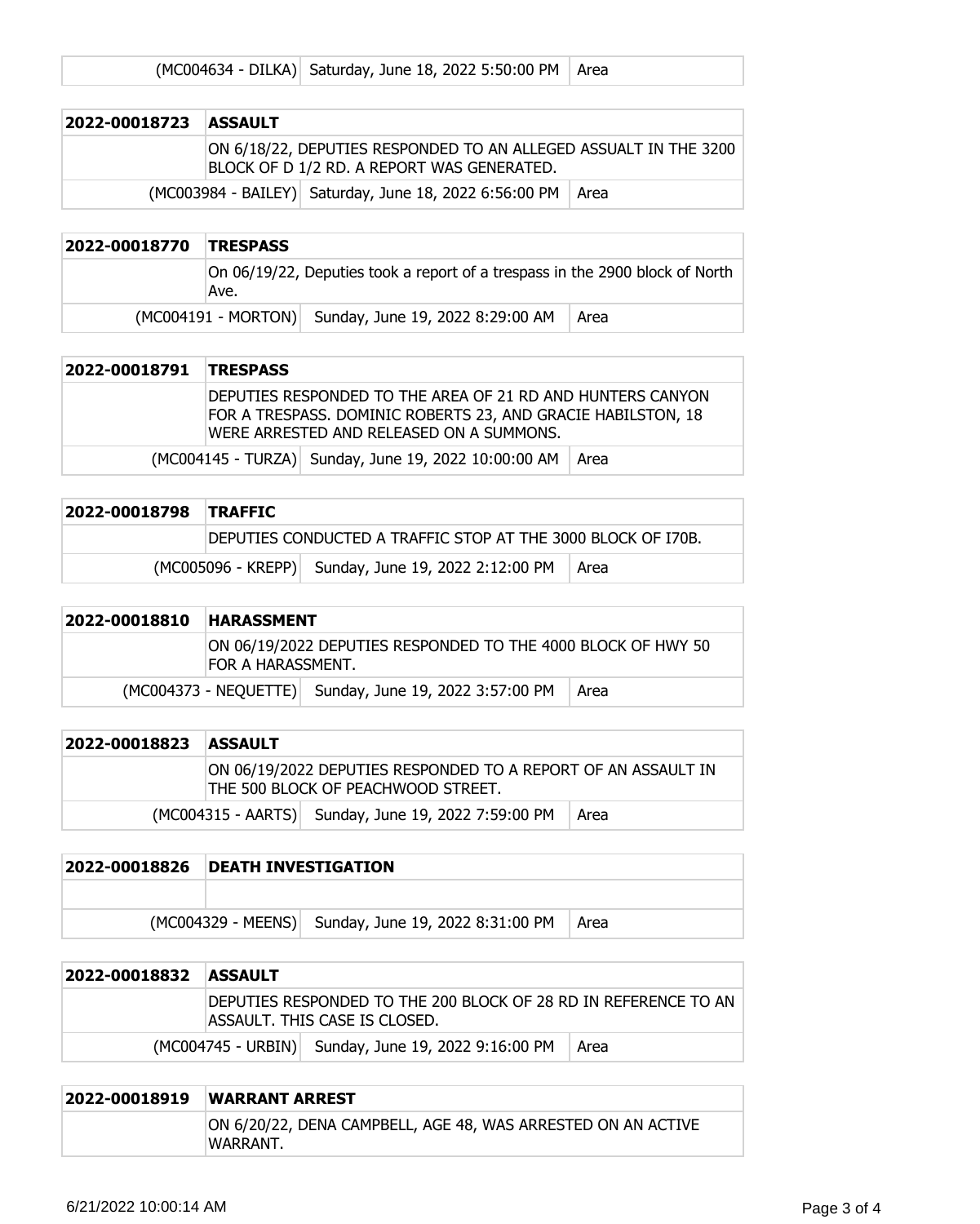|  | (MC004634 - DILKA) Saturday, June 18, 2022 5:50:00 PM   Area |  |
|--|--------------------------------------------------------------|--|
|--|--------------------------------------------------------------|--|

| 2022-00018723 | <b>ASSAULT</b>                                                                                                 |  |
|---------------|----------------------------------------------------------------------------------------------------------------|--|
|               | ON 6/18/22, DEPUTIES RESPONDED TO AN ALLEGED ASSUALT IN THE 3200<br>BLOCK OF D 1/2 RD. A REPORT WAS GENERATED. |  |
|               | (MC003984 - BAILEY) Saturday, June 18, 2022 6:56:00 PM   Area                                                  |  |
|               |                                                                                                                |  |

# **2022-00018770 TRESPASS**

On 06/19/22, Deputies took a report of a trespass in the 2900 block of North Ave.

(MC004191 - MORTON) Sunday, June 19, 2022 8:29:00 AM | Area

| 2022-00018791 TRESPASS |  |
|------------------------|--|
|------------------------|--|

DEPUTIES RESPONDED TO THE AREA OF 21 RD AND HUNTERS CANYON FOR A TRESPASS. DOMINIC ROBERTS 23, AND GRACIE HABILSTON, 18 WERE ARRESTED AND RELEASED ON A SUMMONS.

 $(MCO04145 - TURZA)$  Sunday, June 19, 2022 10:00:00 AM Area

| 2022-00018798 TRAFFIC |                                                              |  |
|-----------------------|--------------------------------------------------------------|--|
|                       | DEPUTIES CONDUCTED A TRAFFIC STOP AT THE 3000 BLOCK OF I70B. |  |
|                       | (MC005096 - KREPP) Sunday, June 19, 2022 2:12:00 PM   Area   |  |

### **2022-00018810 HARASSMENT** ON 06/19/2022 DEPUTIES RESPONDED TO THE 4000 BLOCK OF HWY 50 FOR A HARASSMENT.  $(MCOO4373 - NEQUETTE)$  Sunday, June 19, 2022 3:57:00 PM  $\vert$  Area

| 2022-00018823 | <b>ASSAULT</b> |                                                                                                     |      |
|---------------|----------------|-----------------------------------------------------------------------------------------------------|------|
|               |                | ON 06/19/2022 DEPUTIES RESPONDED TO A REPORT OF AN ASSAULT IN<br>THE 500 BLOCK OF PEACHWOOD STREET. |      |
|               |                | (MC004315 - AARTS) Sunday, June 19, 2022 7:59:00 PM                                                 | Area |

| 2022-00018826 | <b>IDEATH INVESTIGATION</b> |                                                     |      |
|---------------|-----------------------------|-----------------------------------------------------|------|
|               |                             |                                                     |      |
|               |                             | (MC004329 - MEENS) Sunday, June 19, 2022 8:31:00 PM | Area |

| 2022-00018832 ASSAULT |                                                                                                   |      |
|-----------------------|---------------------------------------------------------------------------------------------------|------|
|                       | DEPUTIES RESPONDED TO THE 200 BLOCK OF 28 RD IN REFERENCE TO AN<br>IASSAULT. THIS CASE IS CLOSED. |      |
|                       | (MC004745 - URBIN) Sunday, June 19, 2022 9:16:00 PM                                               | Area |

#### **2022-00018919 WARRANT ARREST** ON 6/20/22, DENA CAMPBELL, AGE 48, WAS ARRESTED ON AN ACTIVE WARRANT.